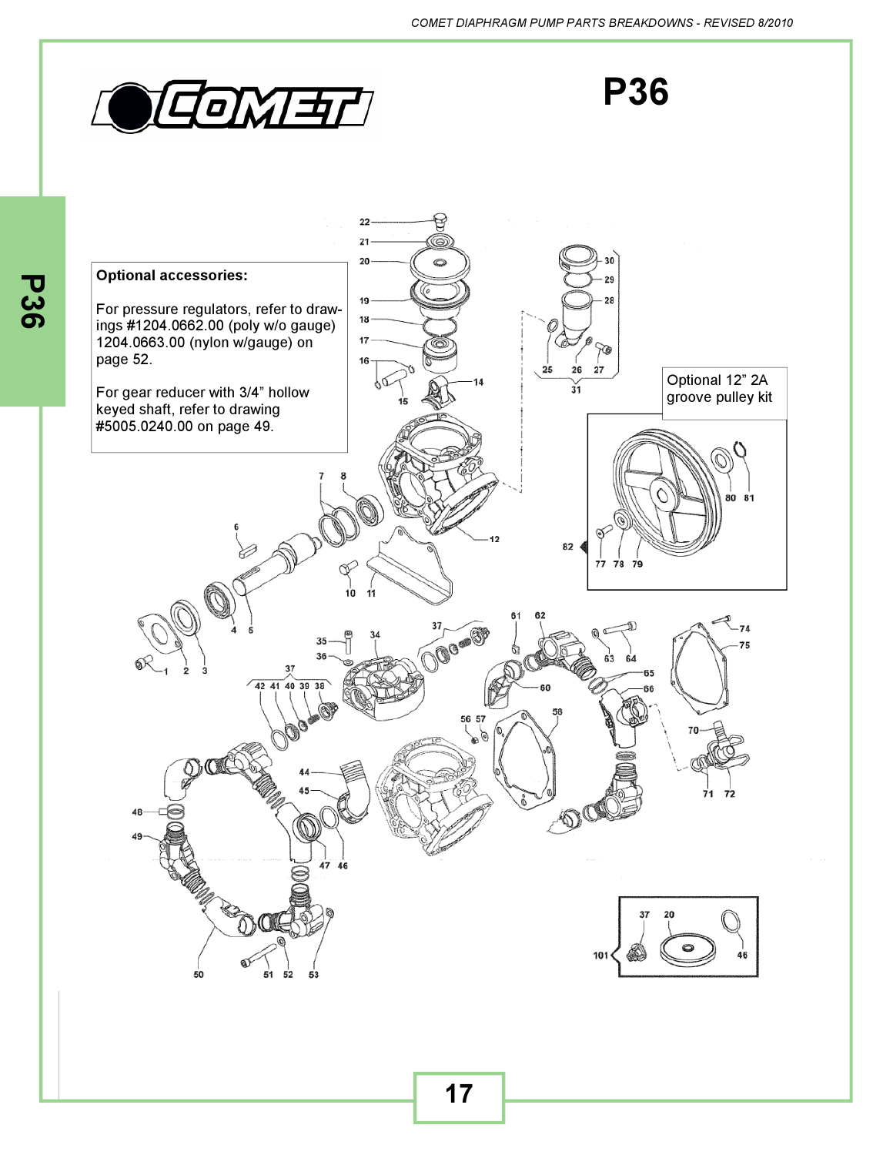